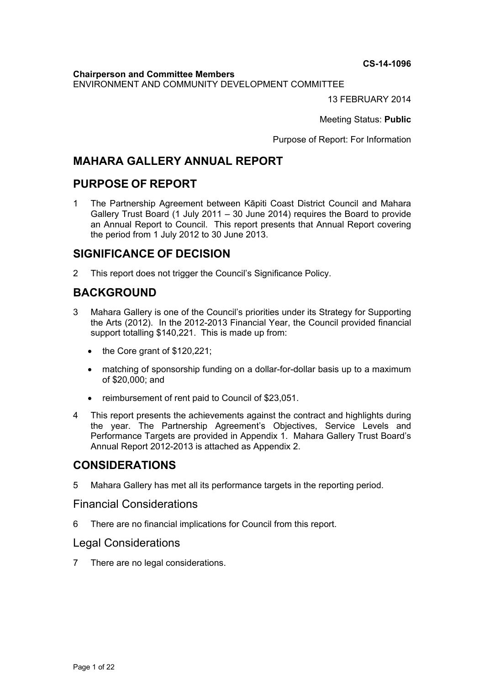**CS-14-1096** 

**Chairperson and Committee Members** ENVIRONMENT AND COMMUNITY DEVELOPMENT COMMITTEE

13 FEBRUARY 2014

Meeting Status: **Public**

Purpose of Report: For Information

## **MAHARA GALLERY ANNUAL REPORT**

## **PURPOSE OF REPORT**

1 The Partnership Agreement between Kāpiti Coast District Council and Mahara Gallery Trust Board (1 July 2011 – 30 June 2014) requires the Board to provide an Annual Report to Council. This report presents that Annual Report covering the period from 1 July 2012 to 30 June 2013.

## **SIGNIFICANCE OF DECISION**

2 This report does not trigger the Council's Significance Policy.

# **BACKGROUND**

- 3 Mahara Gallery is one of the Council's priorities under its Strategy for Supporting the Arts (2012). In the 2012-2013 Financial Year, the Council provided financial support totalling \$140,221. This is made up from:
	- $\bullet$  the Core grant of \$120,221;
	- matching of sponsorship funding on a dollar-for-dollar basis up to a maximum of \$20,000; and
	- reimbursement of rent paid to Council of \$23,051.
- 4 This report presents the achievements against the contract and highlights during the year. The Partnership Agreement's Objectives, Service Levels and Performance Targets are provided in Appendix 1. Mahara Gallery Trust Board's Annual Report 2012-2013 is attached as Appendix 2.

## **CONSIDERATIONS**

5 Mahara Gallery has met all its performance targets in the reporting period.

## Financial Considerations

6 There are no financial implications for Council from this report.

## Legal Considerations

7 There are no legal considerations.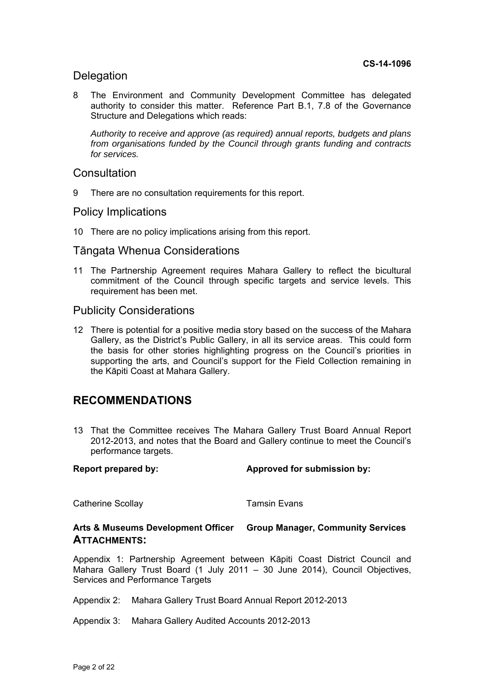## Delegation

8 The Environment and Community Development Committee has delegated authority to consider this matter. Reference Part B.1, 7.8 of the Governance Structure and Delegations which reads:

*Authority to receive and approve (as required) annual reports, budgets and plans from organisations funded by the Council through grants funding and contracts for services.* 

## **Consultation**

9 There are no consultation requirements for this report.

## Policy Implications

10 There are no policy implications arising from this report.

## Tāngata Whenua Considerations

11 The Partnership Agreement requires Mahara Gallery to reflect the bicultural commitment of the Council through specific targets and service levels. This requirement has been met.

## Publicity Considerations

12 There is potential for a positive media story based on the success of the Mahara Gallery, as the District's Public Gallery, in all its service areas. This could form the basis for other stories highlighting progress on the Council's priorities in supporting the arts, and Council's support for the Field Collection remaining in the Kāpiti Coast at Mahara Gallery.

## **RECOMMENDATIONS**

13 That the Committee receives The Mahara Gallery Trust Board Annual Report 2012-2013, and notes that the Board and Gallery continue to meet the Council's performance targets.

Report prepared by: **Approved for submission by:**  $\blacksquare$ 

Catherine Scollay **Tamsin Evans** 

#### **Arts & Museums Development Officer Group Manager, Community Services ATTACHMENTS:**

Appendix 1: Partnership Agreement between Kāpiti Coast District Council and Mahara Gallery Trust Board (1 July 2011 – 30 June 2014), Council Objectives, Services and Performance Targets

Appendix 2: Mahara Gallery Trust Board Annual Report 2012-2013

Appendix 3: Mahara Gallery Audited Accounts 2012-2013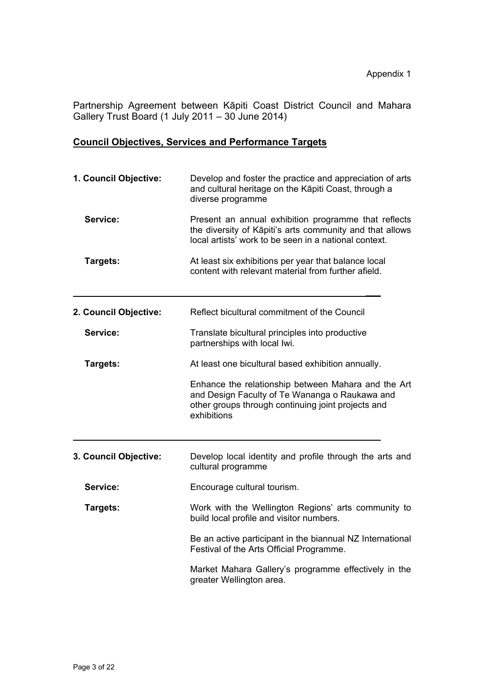Partnership Agreement between Kāpiti Coast District Council and Mahara Gallery Trust Board (1 July 2011 – 30 June 2014)

## **Council Objectives, Services and Performance Targets**

| 1. Council Objective: | Develop and foster the practice and appreciation of arts<br>and cultural heritage on the Kāpiti Coast, through a<br>diverse programme                                      |
|-----------------------|----------------------------------------------------------------------------------------------------------------------------------------------------------------------------|
| Service:              | Present an annual exhibition programme that reflects<br>the diversity of Kāpiti's arts community and that allows<br>local artists' work to be seen in a national context.  |
| Targets:              | At least six exhibitions per year that balance local<br>content with relevant material from further afield.                                                                |
| 2. Council Objective: | Reflect bicultural commitment of the Council                                                                                                                               |
| Service:              | Translate bicultural principles into productive<br>partnerships with local lwi.                                                                                            |
| Targets:              | At least one bicultural based exhibition annually.                                                                                                                         |
|                       | Enhance the relationship between Mahara and the Art<br>and Design Faculty of Te Wananga o Raukawa and<br>other groups through continuing joint projects and<br>exhibitions |
|                       |                                                                                                                                                                            |
| 3. Council Objective: | Develop local identity and profile through the arts and<br>cultural programme                                                                                              |
| Service:              | Encourage cultural tourism.                                                                                                                                                |
| Targets:              | Work with the Wellington Regions' arts community to<br>build local profile and visitor numbers.                                                                            |
|                       | Be an active participant in the biannual NZ International<br>Festival of the Arts Official Programme.                                                                      |
|                       | Market Mahara Gallery's programme effectively in the<br>greater Wellington area.                                                                                           |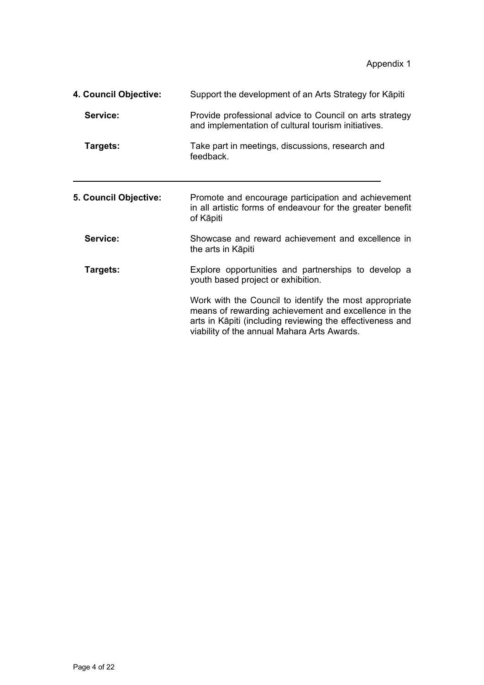Appendix 1

| 4. Council Objective: | Support the development of an Arts Strategy for Kapiti                                                                                                                                                                     |
|-----------------------|----------------------------------------------------------------------------------------------------------------------------------------------------------------------------------------------------------------------------|
| Service:              | Provide professional advice to Council on arts strategy<br>and implementation of cultural tourism initiatives.                                                                                                             |
| Targets:              | Take part in meetings, discussions, research and<br>feedback.                                                                                                                                                              |
| 5. Council Objective: | Promote and encourage participation and achievement<br>in all artistic forms of endeavour for the greater benefit<br>of Kāpiti                                                                                             |
| Service:              | Showcase and reward achievement and excellence in<br>the arts in Kāpiti                                                                                                                                                    |
| Targets:              | Explore opportunities and partnerships to develop a<br>youth based project or exhibition.                                                                                                                                  |
|                       | Work with the Council to identify the most appropriate<br>means of rewarding achievement and excellence in the<br>arts in Kāpiti (including reviewing the effectiveness and<br>viability of the annual Mahara Arts Awards. |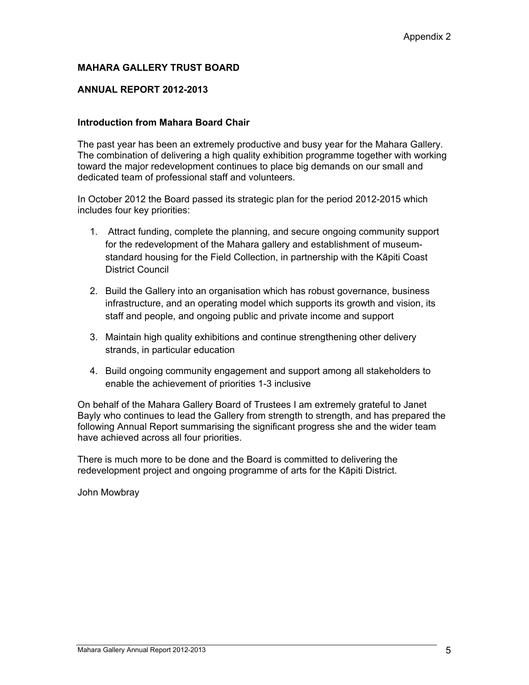## **MAHARA GALLERY TRUST BOARD**

#### **ANNUAL REPORT 2012-2013**

#### **Introduction from Mahara Board Chair**

The past year has been an extremely productive and busy year for the Mahara Gallery. The combination of delivering a high quality exhibition programme together with working toward the major redevelopment continues to place big demands on our small and dedicated team of professional staff and volunteers.

In October 2012 the Board passed its strategic plan for the period 2012-2015 which includes four key priorities:

- 1. Attract funding, complete the planning, and secure ongoing community support for the redevelopment of the Mahara gallery and establishment of museumstandard housing for the Field Collection, in partnership with the Kāpiti Coast District Council
- 2. Build the Gallery into an organisation which has robust governance, business infrastructure, and an operating model which supports its growth and vision, its staff and people, and ongoing public and private income and support
- 3. Maintain high quality exhibitions and continue strengthening other delivery strands, in particular education
- 4. Build ongoing community engagement and support among all stakeholders to enable the achievement of priorities 1-3 inclusive

On behalf of the Mahara Gallery Board of Trustees I am extremely grateful to Janet Bayly who continues to lead the Gallery from strength to strength, and has prepared the following Annual Report summarising the significant progress she and the wider team have achieved across all four priorities.

There is much more to be done and the Board is committed to delivering the redevelopment project and ongoing programme of arts for the Kāpiti District.

John Mowbray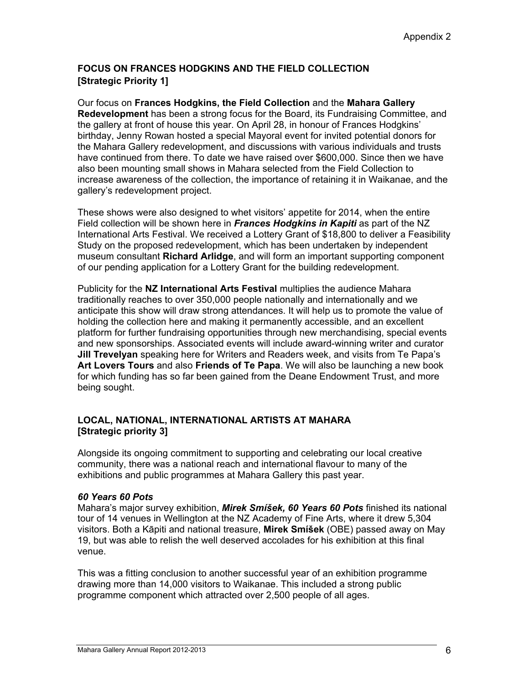## **FOCUS ON FRANCES HODGKINS AND THE FIELD COLLECTION [Strategic Priority 1]**

Our focus on **Frances Hodgkins, the Field Collection** and the **Mahara Gallery Redevelopment** has been a strong focus for the Board, its Fundraising Committee, and the gallery at front of house this year. On April 28, in honour of Frances Hodgkins' birthday, Jenny Rowan hosted a special Mayoral event for invited potential donors for the Mahara Gallery redevelopment, and discussions with various individuals and trusts have continued from there. To date we have raised over \$600,000. Since then we have also been mounting small shows in Mahara selected from the Field Collection to increase awareness of the collection, the importance of retaining it in Waikanae, and the gallery's redevelopment project.

These shows were also designed to whet visitors' appetite for 2014, when the entire Field collection will be shown here in *Frances Hodgkins in Kapiti* as part of the NZ International Arts Festival. We received a Lottery Grant of \$18,800 to deliver a Feasibility Study on the proposed redevelopment, which has been undertaken by independent museum consultant **Richard Arlidge**, and will form an important supporting component of our pending application for a Lottery Grant for the building redevelopment.

Publicity for the **NZ International Arts Festival** multiplies the audience Mahara traditionally reaches to over 350,000 people nationally and internationally and we anticipate this show will draw strong attendances. It will help us to promote the value of holding the collection here and making it permanently accessible, and an excellent platform for further fundraising opportunities through new merchandising, special events and new sponsorships. Associated events will include award-winning writer and curator **Jill Trevelyan** speaking here for Writers and Readers week, and visits from Te Papa's **Art Lovers Tours** and also **Friends of Te Papa**. We will also be launching a new book for which funding has so far been gained from the Deane Endowment Trust, and more being sought.

## **LOCAL, NATIONAL, INTERNATIONAL ARTISTS AT MAHARA [Strategic priority 3]**

Alongside its ongoing commitment to supporting and celebrating our local creative community, there was a national reach and international flavour to many of the exhibitions and public programmes at Mahara Gallery this past year.

#### *60 Years 60 Pots*

Mahara's major survey exhibition, *Mirek Smíšek, 60 Years 60 Pots* finished its national tour of 14 venues in Wellington at the NZ Academy of Fine Arts, where it drew 5,304 visitors. Both a Kāpiti and national treasure, **Mirek Smíšek** (OBE) passed away on May 19, but was able to relish the well deserved accolades for his exhibition at this final venue.

This was a fitting conclusion to another successful year of an exhibition programme drawing more than 14,000 visitors to Waikanae. This included a strong public programme component which attracted over 2,500 people of all ages.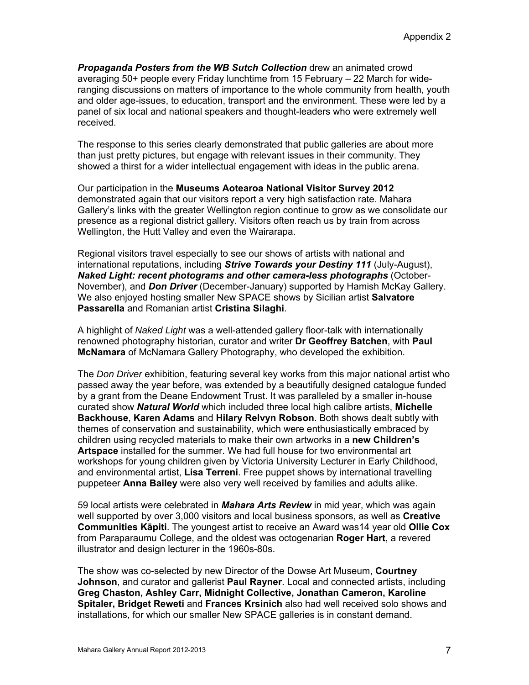*Propaganda Posters from the WB Sutch Collection* drew an animated crowd averaging 50+ people every Friday lunchtime from 15 February – 22 March for wideranging discussions on matters of importance to the whole community from health, youth and older age-issues, to education, transport and the environment. These were led by a panel of six local and national speakers and thought-leaders who were extremely well received.

The response to this series clearly demonstrated that public galleries are about more than just pretty pictures, but engage with relevant issues in their community. They showed a thirst for a wider intellectual engagement with ideas in the public arena.

Our participation in the **Museums Aotearoa National Visitor Survey 2012** demonstrated again that our visitors report a very high satisfaction rate. Mahara Gallery's links with the greater Wellington region continue to grow as we consolidate our presence as a regional district gallery. Visitors often reach us by train from across Wellington, the Hutt Valley and even the Wairarapa.

Regional visitors travel especially to see our shows of artists with national and international reputations, including *Strive Towards your Destiny 111* (July-August), *Naked Light: recent photograms and other camera-less photographs* (October-November), and *Don Driver* (December-January) supported by Hamish McKay Gallery. We also enjoyed hosting smaller New SPACE shows by Sicilian artist **Salvatore Passarella** and Romanian artist **Cristina Silaghi**.

A highlight of *Naked Light* was a well-attended gallery floor-talk with internationally renowned photography historian, curator and writer **Dr Geoffrey Batchen**, with **Paul McNamara** of McNamara Gallery Photography, who developed the exhibition.

The *Don Driver* exhibition, featuring several key works from this major national artist who passed away the year before, was extended by a beautifully designed catalogue funded by a grant from the Deane Endowment Trust. It was paralleled by a smaller in-house curated show *Natural World* which included three local high calibre artists, **Michelle Backhouse**, **Karen Adams** and **Hilary Relvyn Robson**. Both shows dealt subtly with themes of conservation and sustainability, which were enthusiastically embraced by children using recycled materials to make their own artworks in a **new Children's Artspace** installed for the summer. We had full house for two environmental art workshops for young children given by Victoria University Lecturer in Early Childhood, and environmental artist, **Lisa Terreni**. Free puppet shows by international travelling puppeteer **Anna Bailey** were also very well received by families and adults alike.

59 local artists were celebrated in *Mahara Arts Review* in mid year, which was again well supported by over 3,000 visitors and local business sponsors, as well as **Creative Communities Kāpiti**. The youngest artist to receive an Award was14 year old **Ollie Cox** from Paraparaumu College, and the oldest was octogenarian **Roger Hart**, a revered illustrator and design lecturer in the 1960s-80s.

The show was co-selected by new Director of the Dowse Art Museum, **Courtney Johnson**, and curator and gallerist **Paul Rayner**. Local and connected artists, including **Greg Chaston, Ashley Carr, Midnight Collective, Jonathan Cameron, Karoline Spitaler, Bridget Reweti** and **Frances Krsinich** also had well received solo shows and installations, for which our smaller New SPACE galleries is in constant demand.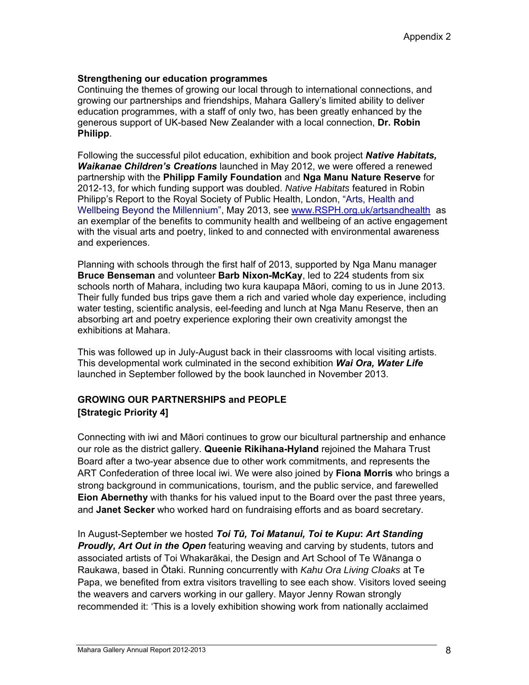## **Strengthening our education programmes**

Continuing the themes of growing our local through to international connections, and growing our partnerships and friendships, Mahara Gallery's limited ability to deliver education programmes, with a staff of only two, has been greatly enhanced by the generous support of UK-based New Zealander with a local connection, **Dr. Robin Philipp**.

Following the successful pilot education, exhibition and book project *Native Habitats, Waikanae Children's Creations* launched in May 2012, we were offered a renewed partnership with the **Philipp Family Foundation** and **Nga Manu Nature Reserve** for 2012-13, for which funding support was doubled. *Native Habitats* featured in Robin Philipp's Report to the Royal Society of Public Health, London, "Arts, Health and Wellbeing Beyond the Millennium", May 2013, see www.RSPH.org.uk/artsandhealth as an exemplar of the benefits to community health and wellbeing of an active engagement with the visual arts and poetry, linked to and connected with environmental awareness and experiences.

Planning with schools through the first half of 2013, supported by Nga Manu manager **Bruce Benseman** and volunteer **Barb Nixon-McKay**, led to 224 students from six schools north of Mahara, including two kura kaupapa Māori, coming to us in June 2013. Their fully funded bus trips gave them a rich and varied whole day experience, including water testing, scientific analysis, eel-feeding and lunch at Nga Manu Reserve, then an absorbing art and poetry experience exploring their own creativity amongst the exhibitions at Mahara.

This was followed up in July-August back in their classrooms with local visiting artists. This developmental work culminated in the second exhibition *Wai Ora, Water Life* launched in September followed by the book launched in November 2013.

## **GROWING OUR PARTNERSHIPS and PEOPLE [Strategic Priority 4]**

Connecting with iwi and Māori continues to grow our bicultural partnership and enhance our role as the district gallery. **Queenie Rikihana-Hyland** rejoined the Mahara Trust Board after a two-year absence due to other work commitments, and represents the ART Confederation of three local iwi. We were also joined by **Fiona Morris** who brings a strong background in communications, tourism, and the public service, and farewelled **Eion Abernethy** with thanks for his valued input to the Board over the past three years, and **Janet Secker** who worked hard on fundraising efforts and as board secretary.

In August-September we hosted *Toi Tū, Toi Matanui, Toi te Kupu***:** *Art Standing Proudly, Art Out in the Open* featuring weaving and carving by students, tutors and associated artists of Toi Whakarākai, the Design and Art School of Te Wānanga o Raukawa, based in Ōtaki. Running concurrently with *Kahu Ora Living Cloaks* at Te Papa, we benefited from extra visitors travelling to see each show. Visitors loved seeing the weavers and carvers working in our gallery. Mayor Jenny Rowan strongly recommended it: 'This is a lovely exhibition showing work from nationally acclaimed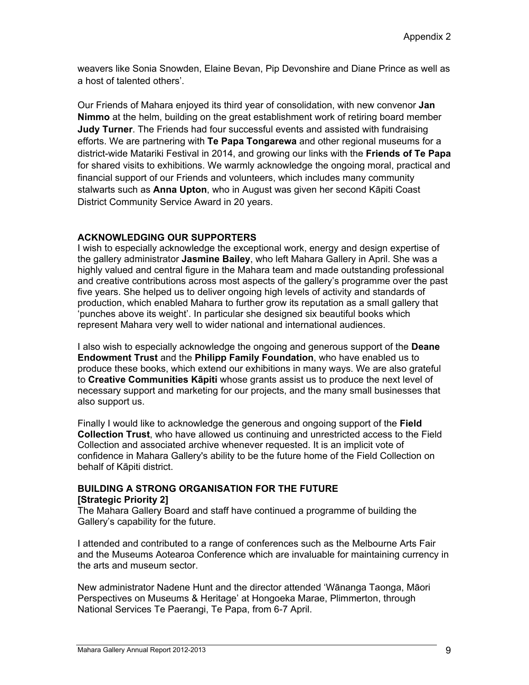weavers like Sonia Snowden, Elaine Bevan, Pip Devonshire and Diane Prince as well as a host of talented others'.

Our Friends of Mahara enjoyed its third year of consolidation, with new convenor **Jan Nimmo** at the helm, building on the great establishment work of retiring board member **Judy Turner**. The Friends had four successful events and assisted with fundraising efforts. We are partnering with **Te Papa Tongarewa** and other regional museums for a district-wide Matariki Festival in 2014, and growing our links with the **Friends of Te Papa** for shared visits to exhibitions. We warmly acknowledge the ongoing moral, practical and financial support of our Friends and volunteers, which includes many community stalwarts such as **Anna Upton**, who in August was given her second Kāpiti Coast District Community Service Award in 20 years.

## **ACKNOWLEDGING OUR SUPPORTERS**

I wish to especially acknowledge the exceptional work, energy and design expertise of the gallery administrator **Jasmine Bailey**, who left Mahara Gallery in April. She was a highly valued and central figure in the Mahara team and made outstanding professional and creative contributions across most aspects of the gallery's programme over the past five years. She helped us to deliver ongoing high levels of activity and standards of production, which enabled Mahara to further grow its reputation as a small gallery that 'punches above its weight'. In particular she designed six beautiful books which represent Mahara very well to wider national and international audiences.

I also wish to especially acknowledge the ongoing and generous support of the **Deane Endowment Trust** and the **Philipp Family Foundation**, who have enabled us to produce these books, which extend our exhibitions in many ways. We are also grateful to **Creative Communities Kāpiti** whose grants assist us to produce the next level of necessary support and marketing for our projects, and the many small businesses that also support us.

Finally I would like to acknowledge the generous and ongoing support of the **Field Collection Trust**, who have allowed us continuing and unrestricted access to the Field Collection and associated archive whenever requested. It is an implicit vote of confidence in Mahara Gallery's ability to be the future home of the Field Collection on behalf of Kāpiti district.

## **BUILDING A STRONG ORGANISATION FOR THE FUTURE [Strategic Priority 2]**

The Mahara Gallery Board and staff have continued a programme of building the Gallery's capability for the future.

I attended and contributed to a range of conferences such as the Melbourne Arts Fair and the Museums Aotearoa Conference which are invaluable for maintaining currency in the arts and museum sector.

New administrator Nadene Hunt and the director attended 'Wānanga Taonga, Māori Perspectives on Museums & Heritage' at Hongoeka Marae, Plimmerton, through National Services Te Paerangi, Te Papa, from 6-7 April.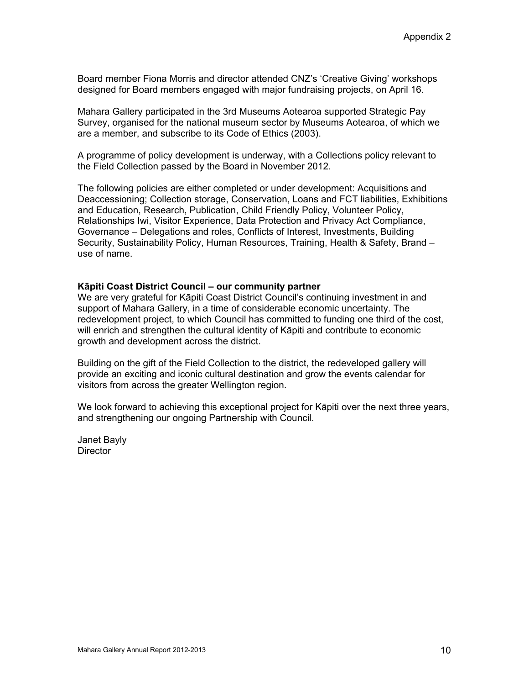Board member Fiona Morris and director attended CNZ's 'Creative Giving' workshops designed for Board members engaged with major fundraising projects, on April 16.

Mahara Gallery participated in the 3rd Museums Aotearoa supported Strategic Pay Survey, organised for the national museum sector by Museums Aotearoa, of which we are a member, and subscribe to its Code of Ethics (2003).

A programme of policy development is underway, with a Collections policy relevant to the Field Collection passed by the Board in November 2012.

The following policies are either completed or under development: Acquisitions and Deaccessioning; Collection storage, Conservation, Loans and FCT liabilities, Exhibitions and Education, Research, Publication, Child Friendly Policy, Volunteer Policy, Relationships Iwi, Visitor Experience, Data Protection and Privacy Act Compliance, Governance – Delegations and roles, Conflicts of Interest, Investments, Building Security, Sustainability Policy, Human Resources, Training, Health & Safety, Brand – use of name.

#### **Kāpiti Coast District Council – our community partner**

We are very grateful for Kāpiti Coast District Council's continuing investment in and support of Mahara Gallery, in a time of considerable economic uncertainty. The redevelopment project, to which Council has committed to funding one third of the cost, will enrich and strengthen the cultural identity of Kāpiti and contribute to economic growth and development across the district.

Building on the gift of the Field Collection to the district, the redeveloped gallery will provide an exciting and iconic cultural destination and grow the events calendar for visitors from across the greater Wellington region.

We look forward to achieving this exceptional project for Kāpiti over the next three years, and strengthening our ongoing Partnership with Council.

Janet Bayly **Director**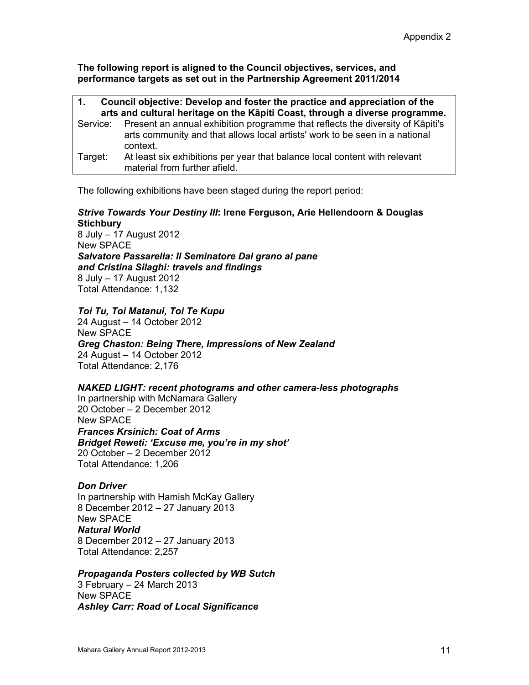**The following report is aligned to the Council objectives, services, and performance targets as set out in the Partnership Agreement 2011/2014** 

| Council objective: Develop and foster the practice and appreciation of the<br>1. |                                                                                                                                                                                    |  |
|----------------------------------------------------------------------------------|------------------------------------------------------------------------------------------------------------------------------------------------------------------------------------|--|
| arts and cultural heritage on the Kāpiti Coast, through a diverse programme.     |                                                                                                                                                                                    |  |
|                                                                                  | Service: Present an annual exhibition programme that reflects the diversity of Kāpiti's<br>arts community and that allows local artists' work to be seen in a national<br>context. |  |
| Target:                                                                          | At least six exhibitions per year that balance local content with relevant<br>material from further afield.                                                                        |  |

The following exhibitions have been staged during the report period:

## *Strive Towards Your Destiny III***: Irene Ferguson, Arie Hellendoorn & Douglas Stichbury**

8 July – 17 August 2012 New SPACE *Salvatore Passarella: Il Seminatore Dal grano al pane and Cristina Silaghi: travels and findings*  8 July – 17 August 2012 Total Attendance: 1,132

## *Toi Tu, Toi Matanui, Toi Te Kupu*

24 August – 14 October 2012 New SPACE *Greg Chaston: Being There, Impressions of New Zealand* 24 August – 14 October 2012 Total Attendance: 2,176

#### *NAKED LIGHT: recent photograms and other camera-less photographs*

In partnership with McNamara Gallery 20 October – 2 December 2012 New SPACE *Frances Krsinich: Coat of Arms Bridget Reweti: 'Excuse me, you're in my shot'*  20 October – 2 December 2012 Total Attendance: 1,206

#### *Don Driver*

In partnership with Hamish McKay Gallery 8 December 2012 – 27 January 2013 New SPACE *Natural World*  8 December 2012 – 27 January 2013 Total Attendance: 2,257

#### *Propaganda Posters collected by WB Sutch*

3 February – 24 March 2013 New SPACE *Ashley Carr: Road of Local Significance*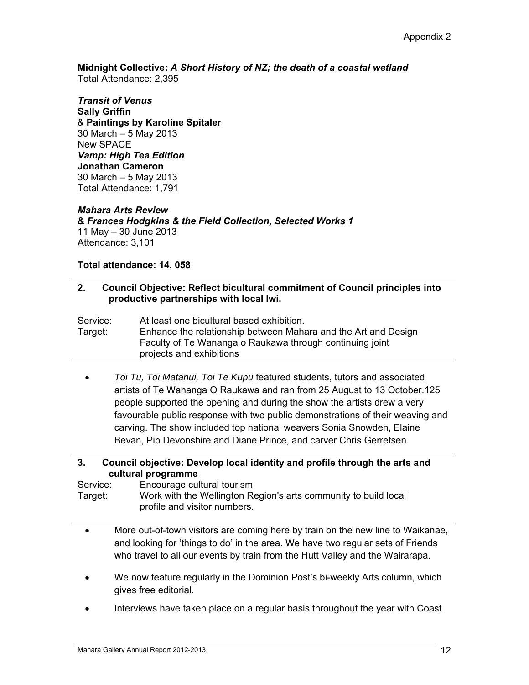**Midnight Collective:** *A Short History of NZ; the death of a coastal wetland*  Total Attendance: 2,395

*Transit of Venus*  **Sally Griffin** & **Paintings by Karoline Spitaler** 30 March – 5 May 2013 New SPACE *Vamp: High Tea Edition*  **Jonathan Cameron**  30 March – 5 May 2013 Total Attendance: 1,791

## *Mahara Arts Review*

**&** *Frances Hodgkins & the Field Collection, Selected Works 1*  11 May – 30 June 2013 Attendance: 3,101

## **Total attendance: 14, 058**

#### **2. Council Objective: Reflect bicultural commitment of Council principles into productive partnerships with local Iwi.**

Service: At least one bicultural based exhibition. Target: Enhance the relationship between Mahara and the Art and Design Faculty of Te Wananga o Raukawa through continuing joint projects and exhibitions

 *Toi Tu, Toi Matanui, Toi Te Kupu* featured students, tutors and associated artists of Te Wananga O Raukawa and ran from 25 August to 13 October.125 people supported the opening and during the show the artists drew a very favourable public response with two public demonstrations of their weaving and carving. The show included top national weavers Sonia Snowden, Elaine Bevan, Pip Devonshire and Diane Prince, and carver Chris Gerretsen.

#### **3. Council objective: Develop local identity and profile through the arts and cultural programme**

Service: Encourage cultural tourism Target: Work with the Wellington Region's arts community to build local profile and visitor numbers.

- More out-of-town visitors are coming here by train on the new line to Waikanae, and looking for 'things to do' in the area. We have two regular sets of Friends who travel to all our events by train from the Hutt Valley and the Wairarapa.
- We now feature regularly in the Dominion Post's bi-weekly Arts column, which gives free editorial.
- Interviews have taken place on a regular basis throughout the year with Coast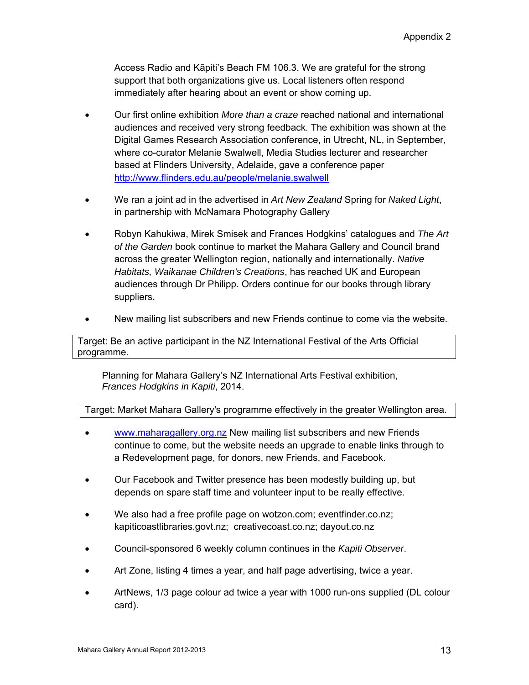Access Radio and Kāpiti's Beach FM 106.3. We are grateful for the strong support that both organizations give us. Local listeners often respond immediately after hearing about an event or show coming up.

- Our first online exhibition *More than a craze* reached national and international audiences and received very strong feedback. The exhibition was shown at the Digital Games Research Association conference, in Utrecht, NL, in September, where co-curator Melanie Swalwell, Media Studies lecturer and researcher based at Flinders University, Adelaide, gave a conference paper <http://www.flinders.edu.au/people/melanie.swalwell>
- We ran a joint ad in the advertised in *Art New Zealand* Spring for *Naked Light*, in partnership with McNamara Photography Gallery
- Robyn Kahukiwa, Mirek Smisek and Frances Hodgkins' catalogues and *The Art of the Garden* book continue to market the Mahara Gallery and Council brand across the greater Wellington region, nationally and internationally. *Native Habitats, Waikanae Children's Creations*, has reached UK and European audiences through Dr Philipp. Orders continue for our books through library suppliers.
- New mailing list subscribers and new Friends continue to come via the website.

Target: Be an active participant in the NZ International Festival of the Arts Official programme.

 Planning for Mahara Gallery's NZ International Arts Festival exhibition, *Frances Hodgkins in Kapiti*, 2014.

Target: Market Mahara Gallery's programme effectively in the greater Wellington area.

- www.maharagallery.org.nz New mailing list subscribers and new Friends continue to come, but the website needs an upgrade to enable links through to a Redevelopment page, for donors, new Friends, and Facebook.
- Our Facebook and Twitter presence has been modestly building up, but depends on spare staff time and volunteer input to be really effective.
- We also had a free profile page on wotzon.com; eventfinder.co.nz; kapiticoastlibraries.govt.nz; creativecoast.co.nz; dayout.co.nz
- Council-sponsored 6 weekly column continues in the *Kapiti Observer*.
- Art Zone, listing 4 times a year, and half page advertising, twice a year.
- ArtNews, 1/3 page colour ad twice a year with 1000 run-ons supplied (DL colour card).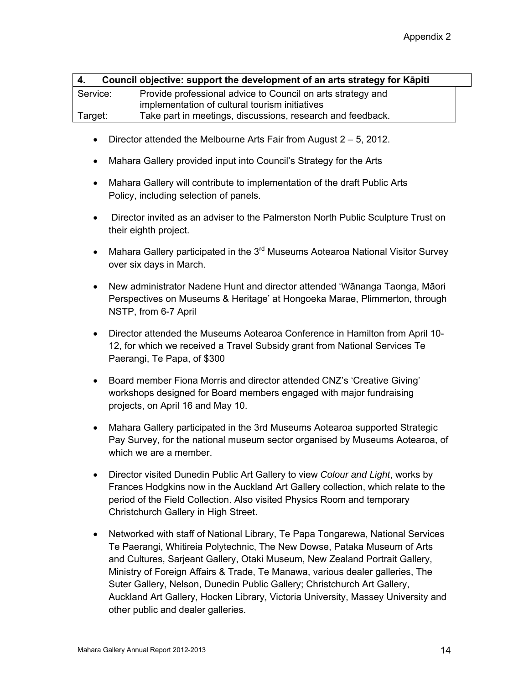| 4.       | Council objective: support the development of an arts strategy for Kapiti |
|----------|---------------------------------------------------------------------------|
| Service: | Provide professional advice to Council on arts strategy and               |
|          | implementation of cultural tourism initiatives                            |
| Target:  | Take part in meetings, discussions, research and feedback.                |

- Director attended the Melbourne Arts Fair from August  $2 5$ , 2012.
- Mahara Gallery provided input into Council's Strategy for the Arts
- Mahara Gallery will contribute to implementation of the draft Public Arts Policy, including selection of panels.
- Director invited as an adviser to the Palmerston North Public Sculpture Trust on their eighth project.
- Mahara Gallery participated in the 3<sup>rd</sup> Museums Aotearoa National Visitor Survev over six days in March.
- New administrator Nadene Hunt and director attended 'Wānanga Taonga, Māori Perspectives on Museums & Heritage' at Hongoeka Marae, Plimmerton, through NSTP, from 6-7 April
- Director attended the Museums Aotearoa Conference in Hamilton from April 10- 12, for which we received a Travel Subsidy grant from National Services Te Paerangi, Te Papa, of \$300
- Board member Fiona Morris and director attended CNZ's 'Creative Giving' workshops designed for Board members engaged with major fundraising projects, on April 16 and May 10.
- Mahara Gallery participated in the 3rd Museums Aotearoa supported Strategic Pay Survey, for the national museum sector organised by Museums Aotearoa, of which we are a member.
- Director visited Dunedin Public Art Gallery to view *Colour and Light*, works by Frances Hodgkins now in the Auckland Art Gallery collection, which relate to the period of the Field Collection. Also visited Physics Room and temporary Christchurch Gallery in High Street.
- Networked with staff of National Library, Te Papa Tongarewa, National Services Te Paerangi, Whitireia Polytechnic, The New Dowse, Pataka Museum of Arts and Cultures, Sarjeant Gallery, Otaki Museum, New Zealand Portrait Gallery, Ministry of Foreign Affairs & Trade, Te Manawa, various dealer galleries, The Suter Gallery, Nelson, Dunedin Public Gallery; Christchurch Art Gallery, Auckland Art Gallery, Hocken Library, Victoria University, Massey University and other public and dealer galleries.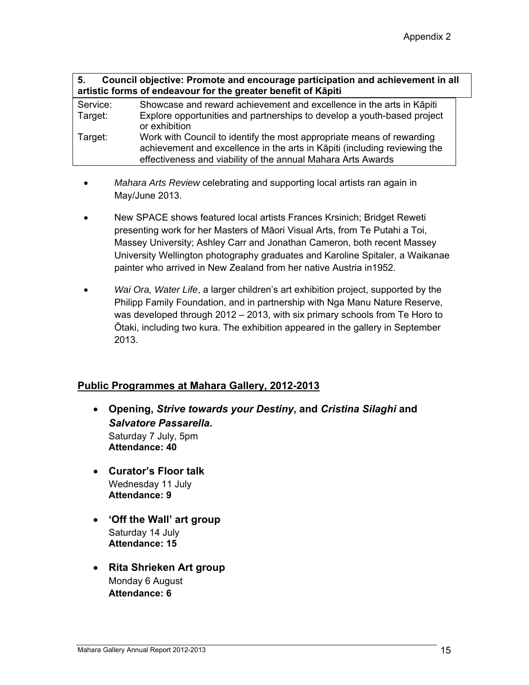| 5.       | Council objective: Promote and encourage participation and achievement in all<br>artistic forms of endeavour for the greater benefit of Kāpiti                                                                     |
|----------|--------------------------------------------------------------------------------------------------------------------------------------------------------------------------------------------------------------------|
| Service: | Showcase and reward achievement and excellence in the arts in Kapiti                                                                                                                                               |
| Target:  | Explore opportunities and partnerships to develop a youth-based project<br>or exhibition                                                                                                                           |
| Target:  | Work with Council to identify the most appropriate means of rewarding<br>achievement and excellence in the arts in Kāpiti (including reviewing the<br>effectiveness and viability of the annual Mahara Arts Awards |
|          |                                                                                                                                                                                                                    |

- *Mahara Arts Review* celebrating and supporting local artists ran again in May/June 2013.
- New SPACE shows featured local artists Frances Krsinich; Bridget Reweti presenting work for her Masters of Māori Visual Arts, from Te Putahi a Toi, Massey University; Ashley Carr and Jonathan Cameron, both recent Massey University Wellington photography graduates and Karoline Spitaler, a Waikanae painter who arrived in New Zealand from her native Austria in1952.
- *Wai Ora, Water Life*, a larger children's art exhibition project, supported by the Philipp Family Foundation, and in partnership with Nga Manu Nature Reserve, was developed through 2012 – 2013, with six primary schools from Te Horo to Ōtaki, including two kura. The exhibition appeared in the gallery in September 2013.

## **Public Programmes at Mahara Gallery, 2012-2013**

- **Opening,** *Strive towards your Destiny***, and** *Cristina Silaghi* **and**  *Salvatore Passarella.*  Saturday 7 July, 5pm **Attendance: 40**
- **Curator's Floor talk** Wednesday 11 July **Attendance: 9**
- **'Off the Wall' art group** Saturday 14 July **Attendance: 15**
- **Rita Shrieken Art group**  Monday 6 August **Attendance: 6**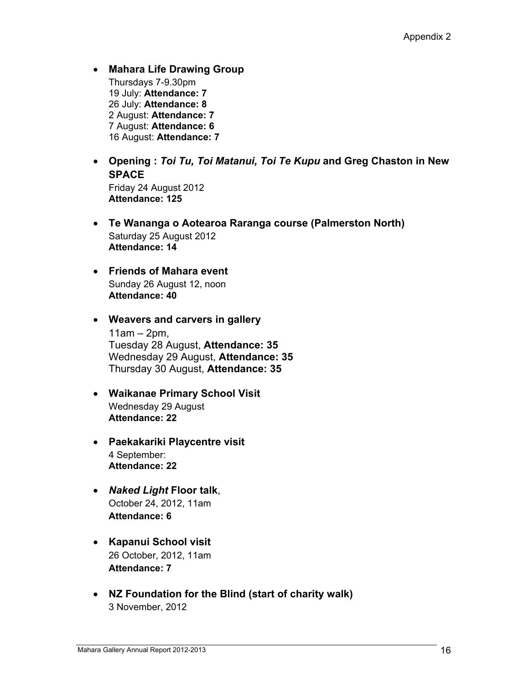**Mahara Life Drawing Group** Thursdays 7-9.30pm 19 July: **Attendance: 7**  26 July: **Attendance: 8** 2 August: **Attendance: 7** 7 August: **Attendance: 6** 16 August: **Attendance: 7**

 **Opening :** *Toi Tu, Toi Matanui, Toi Te Kupu* **and Greg Chaston in New SPACE** Friday 24 August 2012

**Attendance: 125** 

- **Te Wananga o Aotearoa Raranga course (Palmerston North)** Saturday 25 August 2012 **Attendance: 14**
- **Friends of Mahara event**  Sunday 26 August 12, noon **Attendance: 40**
- **Weavers and carvers in gallery**  $11am - 2pm$ , Tuesday 28 August, **Attendance: 35** Wednesday 29 August, **Attendance: 35** Thursday 30 August, **Attendance: 35**
- **Waikanae Primary School Visit** Wednesday 29 August **Attendance: 22**
- **Paekakariki Playcentre visit** 4 September: **Attendance: 22**
- *Naked Light* **Floor talk**, October 24, 2012, 11am **Attendance: 6**
- **Kapanui School visit** 26 October, 2012, 11am **Attendance: 7**
- **NZ Foundation for the Blind (start of charity walk)**  3 November, 2012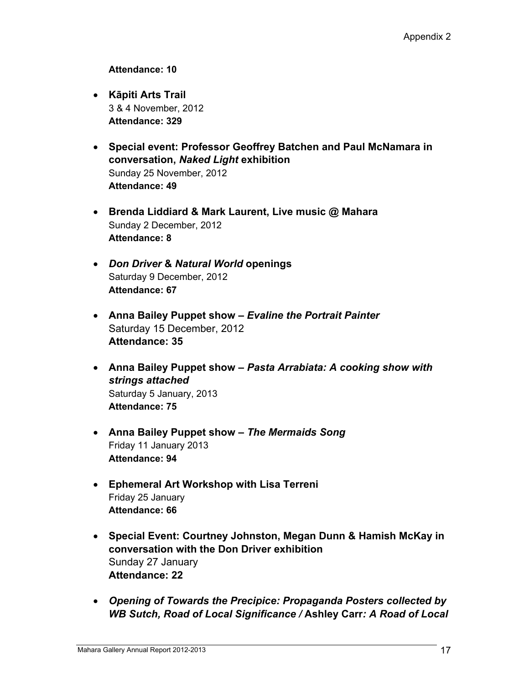## **Attendance: 10**

- **Kāpiti Arts Trail**  3 & 4 November, 2012 **Attendance: 329**
- **Special event: Professor Geoffrey Batchen and Paul McNamara in conversation,** *Naked Light* **exhibition**  Sunday 25 November, 2012 **Attendance: 49**
- **Brenda Liddiard & Mark Laurent, Live music @ Mahara**  Sunday 2 December, 2012 **Attendance: 8**
- *Don Driver* **&** *Natural World* **openings**  Saturday 9 December, 2012 **Attendance: 67**
- **Anna Bailey Puppet show** *Evaline the Portrait Painter* Saturday 15 December, 2012 **Attendance: 35**
- **Anna Bailey Puppet show** *Pasta Arrabiata: A cooking show with strings attached*  Saturday 5 January, 2013 **Attendance: 75**
- **Anna Bailey Puppet show** *The Mermaids Song* Friday 11 January 2013 **Attendance: 94**
- **Ephemeral Art Workshop with Lisa Terreni**  Friday 25 January **Attendance: 66**
- **Special Event: Courtney Johnston, Megan Dunn & Hamish McKay in conversation with the Don Driver exhibition**  Sunday 27 January **Attendance: 22**
- *Opening of Towards the Precipice: Propaganda Posters collected by WB Sutch, Road of Local Significance /* **Ashley Carr***: A Road of Local*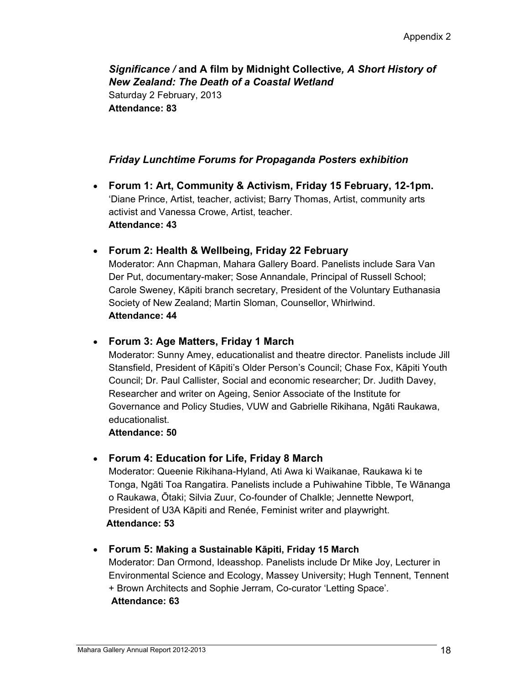*Significance /* **and A film by Midnight Collective***, A Short History of New Zealand: The Death of a Coastal Wetland* Saturday 2 February, 2013 **Attendance: 83** 

## *Friday Lunchtime Forums for Propaganda Posters exhibition*

- **Forum 1: Art, Community & Activism, Friday 15 February, 12-1pm.**  'Diane Prince, Artist, teacher, activist; Barry Thomas, Artist, community arts activist and Vanessa Crowe, Artist, teacher. **Attendance: 43**
- **Forum 2: Health & Wellbeing, Friday 22 February**

Moderator: Ann Chapman, Mahara Gallery Board. Panelists include Sara Van Der Put, documentary-maker; Sose Annandale, Principal of Russell School; Carole Sweney, Kāpiti branch secretary, President of the Voluntary Euthanasia Society of New Zealand; Martin Sloman, Counsellor, Whirlwind. **Attendance: 44** 

## **Forum 3: Age Matters, Friday 1 March**

Moderator: Sunny Amey, educationalist and theatre director. Panelists include Jill Stansfield, President of Kāpiti's Older Person's Council; Chase Fox, Kāpiti Youth Council; Dr. Paul Callister, Social and economic researcher; Dr. Judith Davey, Researcher and writer on Ageing, Senior Associate of the Institute for Governance and Policy Studies, VUW and Gabrielle Rikihana, Ngāti Raukawa, educationalist.

**Attendance: 50**

## **Forum 4: Education for Life, Friday 8 March**

Moderator: Queenie Rikihana-Hyland, Ati Awa ki Waikanae, Raukawa ki te Tonga, Ngāti Toa Rangatira. Panelists include a Puhiwahine Tibble, Te Wānanga o Raukawa, Ōtaki; Silvia Zuur, Co-founder of Chalkle; Jennette Newport, President of U3A Kāpiti and Renée, Feminist writer and playwright. **Attendance: 53** 

## **Forum 5: Making a Sustainable Kāpiti, Friday 15 March**

Moderator: Dan Ormond, Ideasshop. Panelists include Dr Mike Joy, Lecturer in Environmental Science and Ecology, Massey University; Hugh Tennent, Tennent + Brown Architects and Sophie Jerram, Co-curator 'Letting Space'. **Attendance: 63**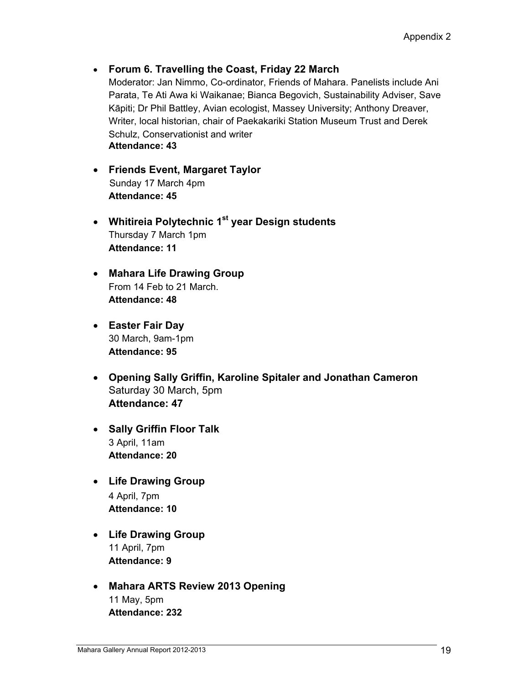## **Forum 6. Travelling the Coast, Friday 22 March**

Moderator: Jan Nimmo, Co-ordinator, Friends of Mahara. Panelists include Ani Parata, Te Ati Awa ki Waikanae; Bianca Begovich, Sustainability Adviser, Save Kāpiti; Dr Phil Battley, Avian ecologist, Massey University; Anthony Dreaver, Writer, local historian, chair of Paekakariki Station Museum Trust and Derek Schulz, Conservationist and writer **Attendance: 43** 

- **Friends Event, Margaret Taylor**  Sunday 17 March 4pm **Attendance: 45**
- **Whitireia Polytechnic 1st year Design students**  Thursday 7 March 1pm **Attendance: 11**
- **Mahara Life Drawing Group**  From 14 Feb to 21 March. **Attendance: 48**
- **Easter Fair Day**  30 March, 9am-1pm **Attendance: 95**
- **Opening Sally Griffin, Karoline Spitaler and Jonathan Cameron**  Saturday 30 March, 5pm **Attendance: 47**
- **Sally Griffin Floor Talk**  3 April, 11am **Attendance: 20**
- **Life Drawing Group**  4 April, 7pm **Attendance: 10**
- **Life Drawing Group**  11 April, 7pm **Attendance: 9**
- **Mahara ARTS Review 2013 Opening**  11 May, 5pm **Attendance: 232**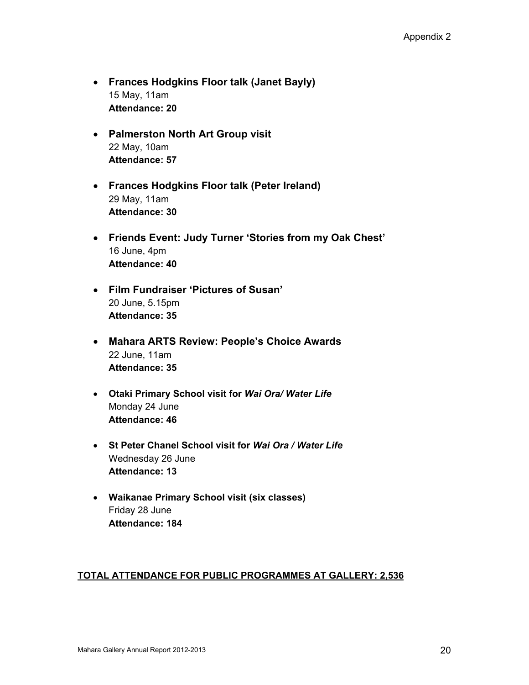- **Frances Hodgkins Floor talk (Janet Bayly)**  15 May, 11am **Attendance: 20**
- **Palmerston North Art Group visit**  22 May, 10am **Attendance: 57**
- **Frances Hodgkins Floor talk (Peter Ireland)**  29 May, 11am **Attendance: 30**
- **Friends Event: Judy Turner 'Stories from my Oak Chest'**  16 June, 4pm **Attendance: 40**
- **Film Fundraiser 'Pictures of Susan'**  20 June, 5.15pm **Attendance: 35**
- **Mahara ARTS Review: People's Choice Awards**  22 June, 11am **Attendance: 35**
- **Otaki Primary School visit for** *Wai Ora/ Water Life*  Monday 24 June **Attendance: 46**
- **St Peter Chanel School visit for** *Wai Ora / Water Life* Wednesday 26 June **Attendance: 13**
- **Waikanae Primary School visit (six classes)**  Friday 28 June **Attendance: 184**

## **TOTAL ATTENDANCE FOR PUBLIC PROGRAMMES AT GALLERY: 2,536**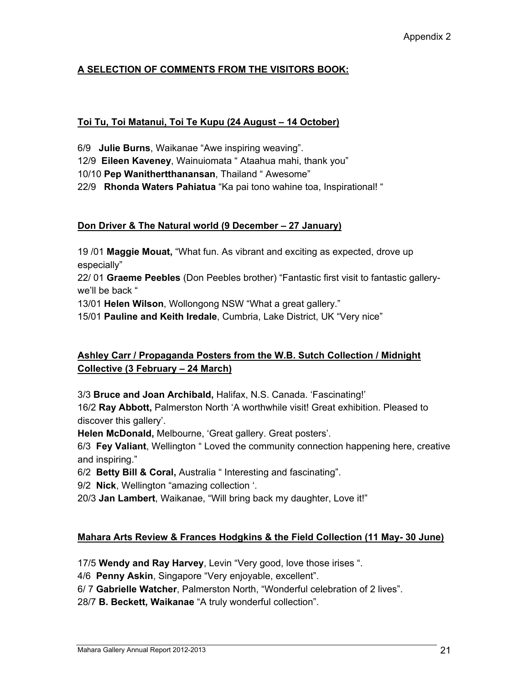## **A SELECTION OF COMMENTS FROM THE VISITORS BOOK:**

## **Toi Tu, Toi Matanui, Toi Te Kupu (24 August – 14 October)**

6/9 **Julie Burns**, Waikanae "Awe inspiring weaving".

12/9 **Eileen Kaveney**, Wainuiomata " Ataahua mahi, thank you"

10/10 **Pep Wanithertthanansan**, Thailand " Awesome"

22/9 **Rhonda Waters Pahiatua** "Ka pai tono wahine toa, Inspirational! "

## **Don Driver & The Natural world (9 December – 27 January)**

19 /01 **Maggie Mouat,** "What fun. As vibrant and exciting as expected, drove up especially"

22/ 01 **Graeme Peebles** (Don Peebles brother) "Fantastic first visit to fantastic gallerywe'll be back "

13/01 **Helen Wilson**, Wollongong NSW "What a great gallery."

15/01 **Pauline and Keith Iredale**, Cumbria, Lake District, UK "Very nice"

## **Ashley Carr / Propaganda Posters from the W.B. Sutch Collection / Midnight Collective (3 February – 24 March)**

3/3 **Bruce and Joan Archibald,** Halifax, N.S. Canada. 'Fascinating!'

16/2 **Ray Abbott,** Palmerston North 'A worthwhile visit! Great exhibition. Pleased to discover this gallery'.

**Helen McDonald,** Melbourne, 'Great gallery. Great posters'.

6/3 **Fey Valiant**, Wellington " Loved the community connection happening here, creative and inspiring."

6/2 **Betty Bill & Coral,** Australia " Interesting and fascinating".

9/2 **Nick**, Wellington "amazing collection '.

20/3 **Jan Lambert**, Waikanae, "Will bring back my daughter, Love it!"

## **Mahara Arts Review & Frances Hodgkins & the Field Collection (11 May- 30 June)**

17/5 **Wendy and Ray Harvey**, Levin "Very good, love those irises ".

4/6 **Penny Askin**, Singapore "Very enjoyable, excellent".

6/ 7 **Gabrielle Watcher**, Palmerston North, "Wonderful celebration of 2 lives".

28/7 **B. Beckett, Waikanae** "A truly wonderful collection".